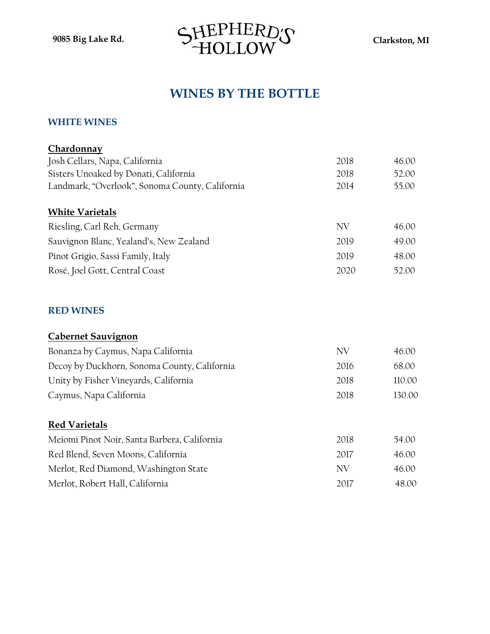

# **WINES BY THE BOTTLE**

#### **WHITE WINES**

| Chardonnay                                      |      |        |
|-------------------------------------------------|------|--------|
| Josh Cellars, Napa, California                  | 2018 | 46.00  |
| Sisters Unoaked by Donati, California           | 2018 | 52.00  |
| Landmark, "Overlook", Sonoma County, California | 2014 | 55.00  |
| <b>White Varietals</b>                          |      |        |
| Riesling, Carl Reh, Germany                     | NV   | 46.00  |
| Sauvignon Blanc, Yealand's, New Zealand         | 2019 | 49.00  |
| Pinot Grigio, Sassi Family, Italy               | 2019 | 48.00  |
| Rosé, Joel Gott, Central Coast                  | 2020 | 52.00  |
| <b>RED WINES</b>                                |      |        |
| <b>Cabernet Sauvignon</b>                       |      |        |
| Bonanza by Caymus, Napa California              | NV   | 46.00  |
| Decoy by Duckhorn, Sonoma County, California    | 2016 | 68.00  |
| Unity by Fisher Vineyards, California           | 2018 | 110.00 |
| Caymus, Napa California                         | 2018 | 130.00 |
| <b>Red Varietals</b>                            |      |        |
| Meiomi Pinot Noir, Santa Barbera, California    | 2018 | 54.00  |
| Red Blend, Seven Moons, California              | 2017 | 46.00  |
| Merlot, Red Diamond, Washington State           | NV   | 46.00  |
| Merlot, Robert Hall, California                 | 2017 | 48.00  |